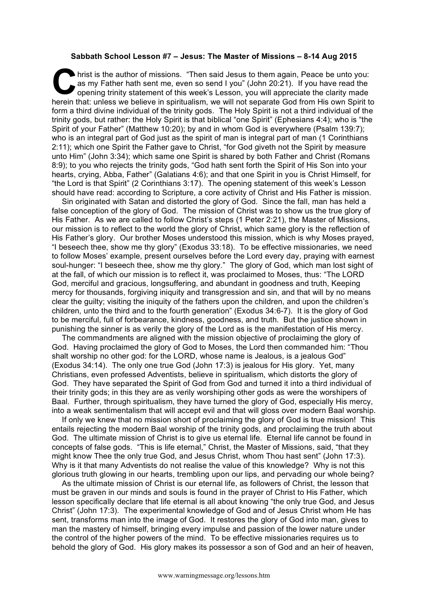## **Sabbath School Lesson #7 – Jesus: The Master of Missions – 8-14 Aug 2015**

hrist is the author of missions. "Then said Jesus to them again, Peace be unto you:<br>
as my Father hath sent me, even so send I you" (John 20:21). If you have read the<br>
opening trinity statement of this week's Lesson, you w as my Father hath sent me, even so send I you" (John 20:21). If you have read the opening trinity statement of this week's Lesson, you will appreciate the clarity made herein that: unless we believe in spiritualism, we will not separate God from His own Spirit to form a third divine individual of the trinity gods. The Holy Spirit is not a third individual of the trinity gods, but rather: the Holy Spirit is that biblical "one Spirit" (Ephesians 4:4); who is "the Spirit of your Father" (Matthew 10:20); by and in whom God is everywhere (Psalm 139:7); who is an integral part of God just as the spirit of man is integral part of man (1 Corinthians 2:11); which one Spirit the Father gave to Christ, "for God giveth not the Spirit by measure unto Him" (John 3:34); which same one Spirit is shared by both Father and Christ (Romans 8:9); to you who rejects the trinity gods, "God hath sent forth the Spirit of His Son into your hearts, crying, Abba, Father" (Galatians 4:6); and that one Spirit in you is Christ Himself, for "the Lord is that Spirit" (2 Corinthians 3:17). The opening statement of this week's Lesson should have read: according to Scripture, a core activity of Christ and His Father is mission.

Sin originated with Satan and distorted the glory of God. Since the fall, man has held a false conception of the glory of God. The mission of Christ was to show us the true glory of His Father. As we are called to follow Christ's steps (1 Peter 2:21), the Master of Missions, our mission is to reflect to the world the glory of Christ, which same glory is the reflection of His Father's glory. Our brother Moses understood this mission, which is why Moses prayed, "I beseech thee, show me thy glory" (Exodus 33:18). To be effective missionaries, we need to follow Moses' example, present ourselves before the Lord every day, praying with earnest soul-hunger: "I beseech thee, show me thy glory." The glory of God, which man lost sight of at the fall, of which our mission is to reflect it, was proclaimed to Moses, thus: "The LORD God, merciful and gracious, longsuffering, and abundant in goodness and truth, Keeping mercy for thousands, forgiving iniquity and transgression and sin, and that will by no means clear the guilty; visiting the iniquity of the fathers upon the children, and upon the children's children, unto the third and to the fourth generation" (Exodus 34:6-7). It is the glory of God to be merciful, full of forbearance, kindness, goodness, and truth. But the justice shown in punishing the sinner is as verily the glory of the Lord as is the manifestation of His mercy.

The commandments are aligned with the mission objective of proclaiming the glory of God. Having proclaimed the glory of God to Moses, the Lord then commanded him: "Thou shalt worship no other god: for the LORD, whose name is Jealous, is a jealous God" (Exodus 34:14). The only one true God (John 17:3) is jealous for His glory. Yet, many Christians, even professed Adventists, believe in spiritualism, which distorts the glory of God. They have separated the Spirit of God from God and turned it into a third individual of their trinity gods; in this they are as verily worshiping other gods as were the worshipers of Baal. Further, through spiritualism, they have turned the glory of God, especially His mercy, into a weak sentimentalism that will accept evil and that will gloss over modern Baal worship.

If only we knew that no mission short of proclaiming the glory of God is true mission! This entails rejecting the modern Baal worship of the trinity gods, and proclaiming the truth about God. The ultimate mission of Christ is to give us eternal life. Eternal life cannot be found in concepts of false gods. "This is life eternal," Christ, the Master of Missions, said, "that they might know Thee the only true God, and Jesus Christ, whom Thou hast sent" (John 17:3). Why is it that many Adventists do not realise the value of this knowledge? Why is not this glorious truth glowing in our hearts, trembling upon our lips, and pervading our whole being?

As the ultimate mission of Christ is our eternal life, as followers of Christ, the lesson that must be graven in our minds and souls is found in the prayer of Christ to His Father, which lesson specifically declare that life eternal is all about knowing "the only true God, and Jesus Christ" (John 17:3). The experimental knowledge of God and of Jesus Christ whom He has sent, transforms man into the image of God. It restores the glory of God into man, gives to man the mastery of himself, bringing every impulse and passion of the lower nature under the control of the higher powers of the mind. To be effective missionaries requires us to behold the glory of God. His glory makes its possessor a son of God and an heir of heaven,